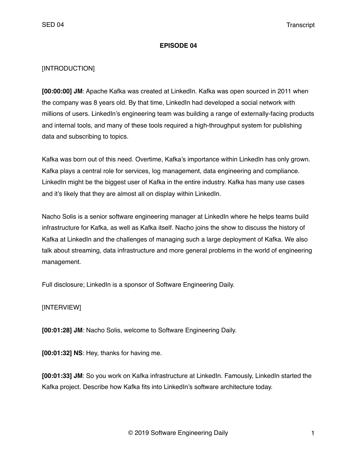### **EPISODE 04**

## [INTRODUCTION]

**[00:00:00] JM**: Apache Kafka was created at LinkedIn. Kafka was open sourced in 2011 when the company was 8 years old. By that time, LinkedIn had developed a social network with millions of users. LinkedIn's engineering team was building a range of externally-facing products and internal tools, and many of these tools required a high-throughput system for publishing data and subscribing to topics.

Kafka was born out of this need. Overtime, Kafka's importance within LinkedIn has only grown. Kafka plays a central role for services, log management, data engineering and compliance. LinkedIn might be the biggest user of Kafka in the entire industry. Kafka has many use cases and it's likely that they are almost all on display within LinkedIn.

Nacho Solis is a senior software engineering manager at LinkedIn where he helps teams build infrastructure for Kafka, as well as Kafka itself. Nacho joins the show to discuss the history of Kafka at LinkedIn and the challenges of managing such a large deployment of Kafka. We also talk about streaming, data infrastructure and more general problems in the world of engineering management.

Full disclosure; LinkedIn is a sponsor of Software Engineering Daily.

### [INTERVIEW]

**[00:01:28] JM**: Nacho Solis, welcome to Software Engineering Daily.

**[00:01:32] NS**: Hey, thanks for having me.

**[00:01:33] JM**: So you work on Kafka infrastructure at LinkedIn. Famously, LinkedIn started the Kafka project. Describe how Kafka fits into LinkedIn's software architecture today.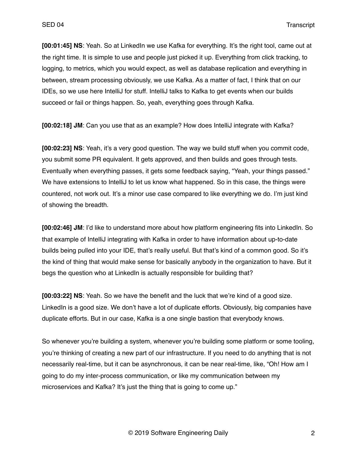**[00:01:45] NS**: Yeah. So at LinkedIn we use Kafka for everything. It's the right tool, came out at the right time. It is simple to use and people just picked it up. Everything from click tracking, to logging, to metrics, which you would expect, as well as database replication and everything in between, stream processing obviously, we use Kafka. As a matter of fact, I think that on our IDEs, so we use here IntelliJ for stuff. IntelliJ talks to Kafka to get events when our builds succeed or fail or things happen. So, yeah, everything goes through Kafka.

**[00:02:18] JM**: Can you use that as an example? How does IntelliJ integrate with Kafka?

**[00:02:23] NS**: Yeah, it's a very good question. The way we build stuff when you commit code, you submit some PR equivalent. It gets approved, and then builds and goes through tests. Eventually when everything passes, it gets some feedback saying, "Yeah, your things passed." We have extensions to IntelliJ to let us know what happened. So in this case, the things were countered, not work out. It's a minor use case compared to like everything we do. I'm just kind of showing the breadth.

**[00:02:46] JM**: I'd like to understand more about how platform engineering fits into LinkedIn. So that example of IntelliJ integrating with Kafka in order to have information about up-to-date builds being pulled into your IDE, that's really useful. But that's kind of a common good. So it's the kind of thing that would make sense for basically anybody in the organization to have. But it begs the question who at LinkedIn is actually responsible for building that?

**[00:03:22] NS**: Yeah. So we have the benefit and the luck that we're kind of a good size. LinkedIn is a good size. We don't have a lot of duplicate efforts. Obviously, big companies have duplicate efforts. But in our case, Kafka is a one single bastion that everybody knows.

So whenever you're building a system, whenever you're building some platform or some tooling, you're thinking of creating a new part of our infrastructure. If you need to do anything that is not necessarily real-time, but it can be asynchronous, it can be near real-time, like, "Oh! How am I going to do my inter-process communication, or like my communication between my microservices and Kafka? It's just the thing that is going to come up."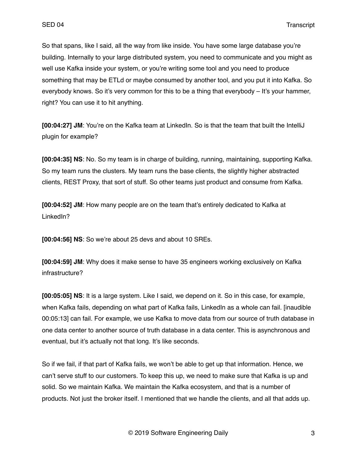So that spans, like I said, all the way from like inside. You have some large database you're building. Internally to your large distributed system, you need to communicate and you might as well use Kafka inside your system, or you're writing some tool and you need to produce something that may be ETLd or maybe consumed by another tool, and you put it into Kafka. So everybody knows. So it's very common for this to be a thing that everybody – It's your hammer, right? You can use it to hit anything.

**[00:04:27] JM**: You're on the Kafka team at LinkedIn. So is that the team that built the IntelliJ plugin for example?

**[00:04:35] NS**: No. So my team is in charge of building, running, maintaining, supporting Kafka. So my team runs the clusters. My team runs the base clients, the slightly higher abstracted clients, REST Proxy, that sort of stuff. So other teams just product and consume from Kafka.

**[00:04:52] JM**: How many people are on the team that's entirely dedicated to Kafka at LinkedIn?

**[00:04:56] NS**: So we're about 25 devs and about 10 SREs.

**[00:04:59] JM**: Why does it make sense to have 35 engineers working exclusively on Kafka infrastructure?

**[00:05:05] NS**: It is a large system. Like I said, we depend on it. So in this case, for example, when Kafka fails, depending on what part of Kafka fails, LinkedIn as a whole can fail. [inaudible 00:05:13] can fail. For example, we use Kafka to move data from our source of truth database in one data center to another source of truth database in a data center. This is asynchronous and eventual, but it's actually not that long. It's like seconds.

So if we fail, if that part of Kafka fails, we won't be able to get up that information. Hence, we can't serve stuff to our customers. To keep this up, we need to make sure that Kafka is up and solid. So we maintain Kafka. We maintain the Kafka ecosystem, and that is a number of products. Not just the broker itself. I mentioned that we handle the clients, and all that adds up.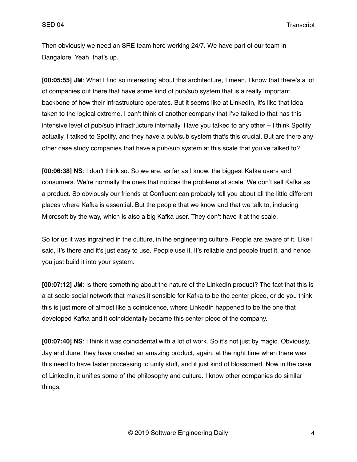Then obviously we need an SRE team here working 24/7. We have part of our team in Bangalore. Yeah, that's up.

**[00:05:55] JM**: What I find so interesting about this architecture, I mean, I know that there's a lot of companies out there that have some kind of pub/sub system that is a really important backbone of how their infrastructure operates. But it seems like at LinkedIn, it's like that idea taken to the logical extreme. I can't think of another company that I've talked to that has this intensive level of pub/sub infrastructure internally. Have you talked to any other – I think Spotify actually. I talked to Spotify, and they have a pub/sub system that's this crucial. But are there any other case study companies that have a pub/sub system at this scale that you've talked to?

**[00:06:38] NS**: I don't think so. So we are, as far as I know, the biggest Kafka users and consumers. We're normally the ones that notices the problems at scale. We don't sell Kafka as a product. So obviously our friends at Confluent can probably tell you about all the little different places where Kafka is essential. But the people that we know and that we talk to, including Microsoft by the way, which is also a big Kafka user. They don't have it at the scale.

So for us it was ingrained in the culture, in the engineering culture. People are aware of it. Like I said, it's there and it's just easy to use. People use it. It's reliable and people trust it, and hence you just build it into your system.

**[00:07:12] JM:** Is there something about the nature of the LinkedIn product? The fact that this is a at-scale social network that makes it sensible for Kafka to be the center piece, or do you think this is just more of almost like a coincidence, where LinkedIn happened to be the one that developed Kafka and it coincidentally became this center piece of the company.

**[00:07:40] NS**: I think it was coincidental with a lot of work. So it's not just by magic. Obviously, Jay and June, they have created an amazing product, again, at the right time when there was this need to have faster processing to unify stuff, and it just kind of blossomed. Now in the case of LinkedIn, it unifies some of the philosophy and culture. I know other companies do similar things.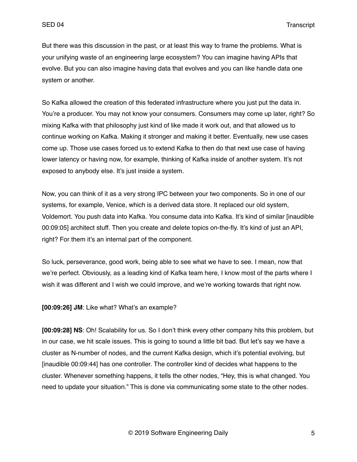But there was this discussion in the past, or at least this way to frame the problems. What is your unifying waste of an engineering large ecosystem? You can imagine having APIs that evolve. But you can also imagine having data that evolves and you can like handle data one system or another.

So Kafka allowed the creation of this federated infrastructure where you just put the data in. You're a producer. You may not know your consumers. Consumers may come up later, right? So mixing Kafka with that philosophy just kind of like made it work out, and that allowed us to continue working on Kafka. Making it stronger and making it better. Eventually, new use cases come up. Those use cases forced us to extend Kafka to then do that next use case of having lower latency or having now, for example, thinking of Kafka inside of another system. It's not exposed to anybody else. It's just inside a system.

Now, you can think of it as a very strong IPC between your two components. So in one of our systems, for example, Venice, which is a derived data store. It replaced our old system, Voldemort. You push data into Kafka. You consume data into Kafka. It's kind of similar [inaudible 00:09:05] architect stuff. Then you create and delete topics on-the-fly. It's kind of just an API, right? For them it's an internal part of the component.

So luck, perseverance, good work, being able to see what we have to see. I mean, now that we're perfect. Obviously, as a leading kind of Kafka team here, I know most of the parts where I wish it was different and I wish we could improve, and we're working towards that right now.

**[00:09:26] JM**: Like what? What's an example?

**[00:09:28] NS**: Oh! Scalability for us. So I don't think every other company hits this problem, but in our case, we hit scale issues. This is going to sound a little bit bad. But let's say we have a cluster as N-number of nodes, and the current Kafka design, which it's potential evolving, but [inaudible 00:09:44] has one controller. The controller kind of decides what happens to the cluster. Whenever something happens, it tells the other nodes, "Hey, this is what changed. You need to update your situation." This is done via communicating some state to the other nodes.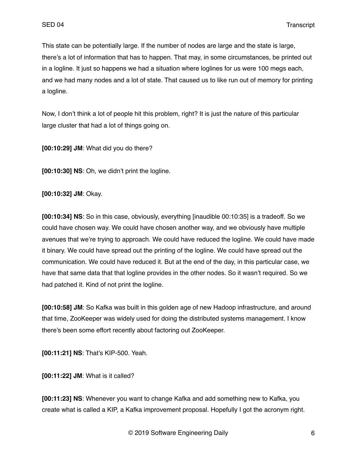This state can be potentially large. If the number of nodes are large and the state is large, there's a lot of information that has to happen. That may, in some circumstances, be printed out in a logline. It just so happens we had a situation where loglines for us were 100 megs each, and we had many nodes and a lot of state. That caused us to like run out of memory for printing a logline.

Now, I don't think a lot of people hit this problem, right? It is just the nature of this particular large cluster that had a lot of things going on.

**[00:10:29] JM**: What did you do there?

**[00:10:30] NS**: Oh, we didn't print the logline.

**[00:10:32] JM**: Okay.

**[00:10:34] NS**: So in this case, obviously, everything [inaudible 00:10:35] is a tradeoff. So we could have chosen way. We could have chosen another way, and we obviously have multiple avenues that we're trying to approach. We could have reduced the logline. We could have made it binary. We could have spread out the printing of the logline. We could have spread out the communication. We could have reduced it. But at the end of the day, in this particular case, we have that same data that that logline provides in the other nodes. So it wasn't required. So we had patched it. Kind of not print the logline.

**[00:10:58] JM**: So Kafka was built in this golden age of new Hadoop infrastructure, and around that time, ZooKeeper was widely used for doing the distributed systems management. I know there's been some effort recently about factoring out ZooKeeper.

**[00:11:21] NS**: That's KIP-500. Yeah.

**[00:11:22] JM**: What is it called?

**[00:11:23] NS**: Whenever you want to change Kafka and add something new to Kafka, you create what is called a KIP, a Kafka improvement proposal. Hopefully I got the acronym right.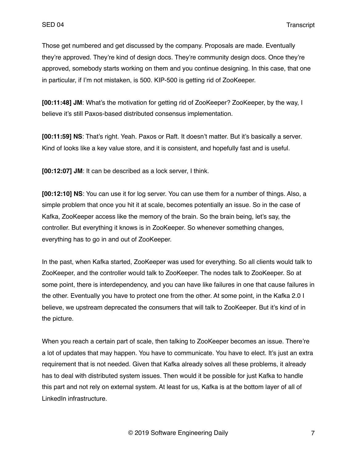Those get numbered and get discussed by the company. Proposals are made. Eventually they're approved. They're kind of design docs. They're community design docs. Once they're approved, somebody starts working on them and you continue designing. In this case, that one in particular, if I'm not mistaken, is 500. KIP-500 is getting rid of ZooKeeper.

**[00:11:48] JM**: What's the motivation for getting rid of ZooKeeper? ZooKeeper, by the way, I believe it's still Paxos-based distributed consensus implementation.

**[00:11:59] NS**: That's right. Yeah. Paxos or Raft. It doesn't matter. But it's basically a server. Kind of looks like a key value store, and it is consistent, and hopefully fast and is useful.

**[00:12:07] JM**: It can be described as a lock server, I think.

**[00:12:10] NS**: You can use it for log server. You can use them for a number of things. Also, a simple problem that once you hit it at scale, becomes potentially an issue. So in the case of Kafka, ZooKeeper access like the memory of the brain. So the brain being, let's say, the controller. But everything it knows is in ZooKeeper. So whenever something changes, everything has to go in and out of ZooKeeper.

In the past, when Kafka started, ZooKeeper was used for everything. So all clients would talk to ZooKeeper, and the controller would talk to ZooKeeper. The nodes talk to ZooKeeper. So at some point, there is interdependency, and you can have like failures in one that cause failures in the other. Eventually you have to protect one from the other. At some point, in the Kafka 2.0 I believe, we upstream deprecated the consumers that will talk to ZooKeeper. But it's kind of in the picture.

When you reach a certain part of scale, then talking to ZooKeeper becomes an issue. There're a lot of updates that may happen. You have to communicate. You have to elect. It's just an extra requirement that is not needed. Given that Kafka already solves all these problems, it already has to deal with distributed system issues. Then would it be possible for just Kafka to handle this part and not rely on external system. At least for us, Kafka is at the bottom layer of all of LinkedIn infrastructure.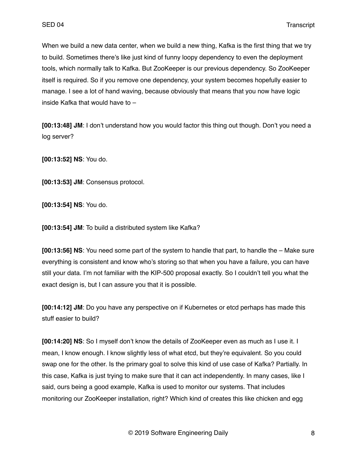When we build a new data center, when we build a new thing, Kafka is the first thing that we try to build. Sometimes there's like just kind of funny loopy dependency to even the deployment tools, which normally talk to Kafka. But ZooKeeper is our previous dependency. So ZooKeeper itself is required. So if you remove one dependency, your system becomes hopefully easier to manage. I see a lot of hand waving, because obviously that means that you now have logic inside Kafka that would have to –

**[00:13:48] JM**: I don't understand how you would factor this thing out though. Don't you need a log server?

**[00:13:52] NS**: You do.

**[00:13:53] JM**: Consensus protocol.

**[00:13:54] NS**: You do.

**[00:13:54] JM**: To build a distributed system like Kafka?

**[00:13:56] NS**: You need some part of the system to handle that part, to handle the – Make sure everything is consistent and know who's storing so that when you have a failure, you can have still your data. I'm not familiar with the KIP-500 proposal exactly. So I couldn't tell you what the exact design is, but I can assure you that it is possible.

**[00:14:12] JM**: Do you have any perspective on if Kubernetes or etcd perhaps has made this stuff easier to build?

**[00:14:20] NS**: So I myself don't know the details of ZooKeeper even as much as I use it. I mean, I know enough. I know slightly less of what etcd, but they're equivalent. So you could swap one for the other. Is the primary goal to solve this kind of use case of Kafka? Partially. In this case, Kafka is just trying to make sure that it can act independently. In many cases, like I said, ours being a good example, Kafka is used to monitor our systems. That includes monitoring our ZooKeeper installation, right? Which kind of creates this like chicken and egg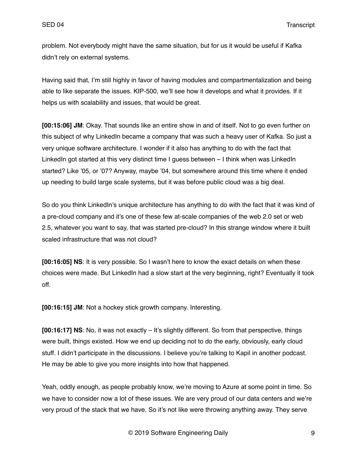problem. Not everybody might have the same situation, but for us it would be useful if Kafka didn't rely on external systems.

Having said that, I'm still highly in favor of having modules and compartmentalization and being able to like separate the issues. KIP-500, we'll see how it develops and what it provides. If it helps us with scalability and issues, that would be great.

**[00:15:06] JM**: Okay. That sounds like an entire show in and of itself. Not to go even further on this subject of why LinkedIn became a company that was such a heavy user of Kafka. So just a very unique software architecture. I wonder if it also has anything to do with the fact that LinkedIn got started at this very distinct time I guess between - I think when was LinkedIn started? Like '05, or '07? Anyway, maybe '04, but somewhere around this time where it ended up needing to build large scale systems, but it was before public cloud was a big deal.

So do you think LinkedIn's unique architecture has anything to do with the fact that it was kind of a pre-cloud company and it's one of these few at-scale companies of the web 2.0 set or web 2.5, whatever you want to say, that was started pre-cloud? In this strange window where it built scaled infrastructure that was not cloud?

**[00:16:05] NS**: It is very possible. So I wasn't here to know the exact details on when these choices were made. But LinkedIn had a slow start at the very beginning, right? Eventually it took off.

**[00:16:15] JM**: Not a hockey stick growth company. Interesting.

**[00:16:17] NS**: No, it was not exactly – It's slightly different. So from that perspective, things were built, things existed. How we end up deciding not to do the early, obviously, early cloud stuff. I didn't participate in the discussions. I believe you're talking to Kapil in another podcast. He may be able to give you more insights into how that happened.

Yeah, oddly enough, as people probably know, we're moving to Azure at some point in time. So we have to consider now a lot of these issues. We are very proud of our data centers and we're very proud of the stack that we have. So it's not like were throwing anything away. They serve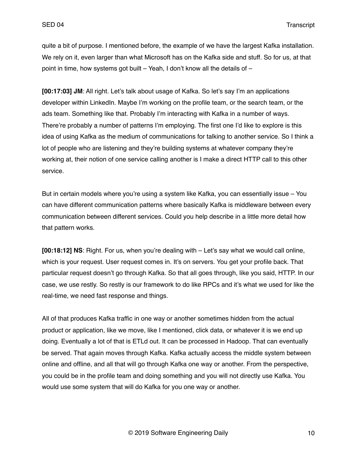quite a bit of purpose. I mentioned before, the example of we have the largest Kafka installation. We rely on it, even larger than what Microsoft has on the Kafka side and stuff. So for us, at that point in time, how systems got built – Yeah, I don't know all the details of –

**[00:17:03] JM**: All right. Let's talk about usage of Kafka. So let's say I'm an applications developer within LinkedIn. Maybe I'm working on the profile team, or the search team, or the ads team. Something like that. Probably I'm interacting with Kafka in a number of ways. There're probably a number of patterns I'm employing. The first one I'd like to explore is this idea of using Kafka as the medium of communications for talking to another service. So I think a lot of people who are listening and they're building systems at whatever company they're working at, their notion of one service calling another is I make a direct HTTP call to this other service.

But in certain models where you're using a system like Kafka, you can essentially issue - You can have different communication patterns where basically Kafka is middleware between every communication between different services. Could you help describe in a little more detail how that pattern works.

**[00:18:12] NS**: Right. For us, when you're dealing with – Let's say what we would call online, which is your request. User request comes in. It's on servers. You get your profile back. That particular request doesn't go through Kafka. So that all goes through, like you said, HTTP. In our case, we use restly. So restly is our framework to do like RPCs and it's what we used for like the real-time, we need fast response and things.

All of that produces Kafka traffic in one way or another sometimes hidden from the actual product or application, like we move, like I mentioned, click data, or whatever it is we end up doing. Eventually a lot of that is ETLd out. It can be processed in Hadoop. That can eventually be served. That again moves through Kafka. Kafka actually access the middle system between online and offline, and all that will go through Kafka one way or another. From the perspective, you could be in the profile team and doing something and you will not directly use Kafka. You would use some system that will do Kafka for you one way or another.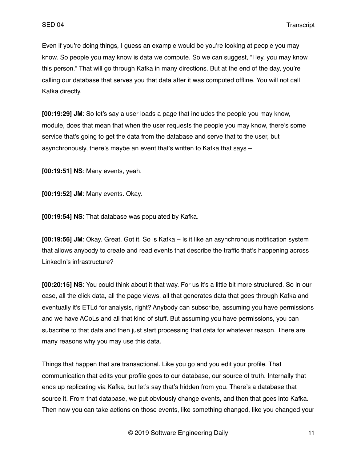Even if you're doing things, I guess an example would be you're looking at people you may know. So people you may know is data we compute. So we can suggest, "Hey, you may know this person." That will go through Kafka in many directions. But at the end of the day, you're calling our database that serves you that data after it was computed offline. You will not call Kafka directly.

**[00:19:29] JM**: So let's say a user loads a page that includes the people you may know, module, does that mean that when the user requests the people you may know, there's some service that's going to get the data from the database and serve that to the user, but asynchronously, there's maybe an event that's written to Kafka that says –

**[00:19:51] NS**: Many events, yeah.

**[00:19:52] JM**: Many events. Okay.

**[00:19:54] NS**: That database was populated by Kafka.

**[00:19:56] JM**: Okay. Great. Got it. So is Kafka – Is it like an asynchronous notification system that allows anybody to create and read events that describe the traffic that's happening across LinkedIn's infrastructure?

**[00:20:15] NS**: You could think about it that way. For us it's a little bit more structured. So in our case, all the click data, all the page views, all that generates data that goes through Kafka and eventually it's ETLd for analysis, right? Anybody can subscribe, assuming you have permissions and we have ACoLs and all that kind of stuff. But assuming you have permissions, you can subscribe to that data and then just start processing that data for whatever reason. There are many reasons why you may use this data.

Things that happen that are transactional. Like you go and you edit your profile. That communication that edits your profile goes to our database, our source of truth. Internally that ends up replicating via Kafka, but let's say that's hidden from you. There's a database that source it. From that database, we put obviously change events, and then that goes into Kafka. Then now you can take actions on those events, like something changed, like you changed your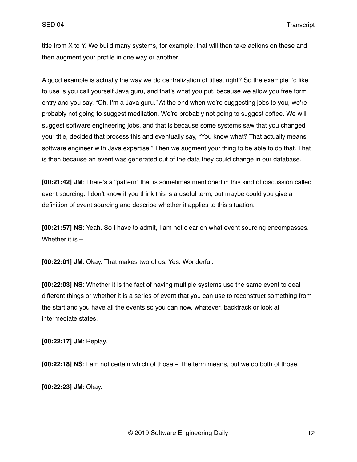title from X to Y. We build many systems, for example, that will then take actions on these and then augment your profile in one way or another.

A good example is actually the way we do centralization of titles, right? So the example I'd like to use is you call yourself Java guru, and that's what you put, because we allow you free form entry and you say, "Oh, I'm a Java guru." At the end when we're suggesting jobs to you, we're probably not going to suggest meditation. We're probably not going to suggest coffee. We will suggest software engineering jobs, and that is because some systems saw that you changed your title, decided that process this and eventually say, "You know what? That actually means software engineer with Java expertise." Then we augment your thing to be able to do that. That is then because an event was generated out of the data they could change in our database.

**[00:21:42] JM**: There's a "pattern" that is sometimes mentioned in this kind of discussion called event sourcing. I don't know if you think this is a useful term, but maybe could you give a definition of event sourcing and describe whether it applies to this situation.

**[00:21:57] NS**: Yeah. So I have to admit, I am not clear on what event sourcing encompasses. Whether it is –

**[00:22:01] JM**: Okay. That makes two of us. Yes. Wonderful.

**[00:22:03] NS**: Whether it is the fact of having multiple systems use the same event to deal different things or whether it is a series of event that you can use to reconstruct something from the start and you have all the events so you can now, whatever, backtrack or look at intermediate states.

**[00:22:17] JM**: Replay.

**[00:22:18] NS**: I am not certain which of those – The term means, but we do both of those.

**[00:22:23] JM**: Okay.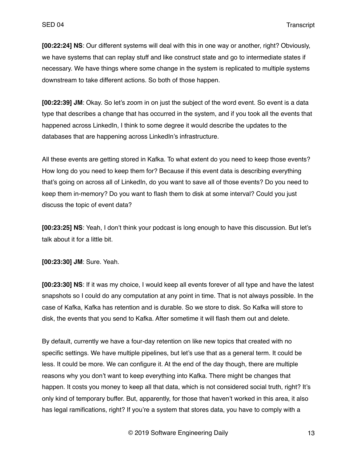**[00:22:24] NS**: Our different systems will deal with this in one way or another, right? Obviously, we have systems that can replay stuff and like construct state and go to intermediate states if necessary. We have things where some change in the system is replicated to multiple systems downstream to take different actions. So both of those happen.

**[00:22:39] JM**: Okay. So let's zoom in on just the subject of the word event. So event is a data type that describes a change that has occurred in the system, and if you took all the events that happened across LinkedIn, I think to some degree it would describe the updates to the databases that are happening across LinkedIn's infrastructure.

All these events are getting stored in Kafka. To what extent do you need to keep those events? How long do you need to keep them for? Because if this event data is describing everything that's going on across all of LinkedIn, do you want to save all of those events? Do you need to keep them in-memory? Do you want to flash them to disk at some interval? Could you just discuss the topic of event data?

**[00:23:25] NS**: Yeah, I don't think your podcast is long enough to have this discussion. But let's talk about it for a little bit.

**[00:23:30] JM**: Sure. Yeah.

**[00:23:30] NS**: If it was my choice, I would keep all events forever of all type and have the latest snapshots so I could do any computation at any point in time. That is not always possible. In the case of Kafka, Kafka has retention and is durable. So we store to disk. So Kafka will store to disk, the events that you send to Kafka. After sometime it will flash them out and delete.

By default, currently we have a four-day retention on like new topics that created with no specific settings. We have multiple pipelines, but let's use that as a general term. It could be less. It could be more. We can configure it. At the end of the day though, there are multiple reasons why you don't want to keep everything into Kafka. There might be changes that happen. It costs you money to keep all that data, which is not considered social truth, right? It's only kind of temporary buffer. But, apparently, for those that haven't worked in this area, it also has legal ramifications, right? If you're a system that stores data, you have to comply with a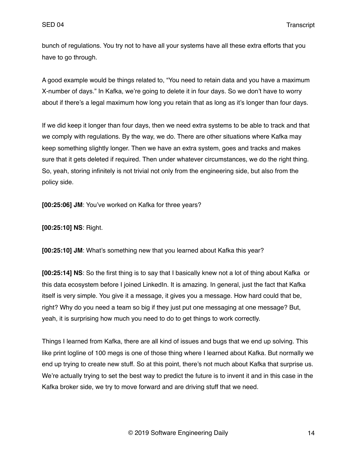bunch of regulations. You try not to have all your systems have all these extra efforts that you have to go through.

A good example would be things related to, "You need to retain data and you have a maximum X-number of days." In Kafka, we're going to delete it in four days. So we don't have to worry about if there's a legal maximum how long you retain that as long as it's longer than four days.

If we did keep it longer than four days, then we need extra systems to be able to track and that we comply with regulations. By the way, we do. There are other situations where Kafka may keep something slightly longer. Then we have an extra system, goes and tracks and makes sure that it gets deleted if required. Then under whatever circumstances, we do the right thing. So, yeah, storing infinitely is not trivial not only from the engineering side, but also from the policy side.

**[00:25:06] JM**: You've worked on Kafka for three years?

**[00:25:10] NS**: Right.

**[00:25:10] JM**: What's something new that you learned about Kafka this year?

**[00:25:14] NS**: So the first thing is to say that I basically knew not a lot of thing about Kafka or this data ecosystem before I joined LinkedIn. It is amazing. In general, just the fact that Kafka itself is very simple. You give it a message, it gives you a message. How hard could that be, right? Why do you need a team so big if they just put one messaging at one message? But, yeah, it is surprising how much you need to do to get things to work correctly.

Things I learned from Kafka, there are all kind of issues and bugs that we end up solving. This like print logline of 100 megs is one of those thing where I learned about Kafka. But normally we end up trying to create new stuff. So at this point, there's not much about Kafka that surprise us. We're actually trying to set the best way to predict the future is to invent it and in this case in the Kafka broker side, we try to move forward and are driving stuff that we need.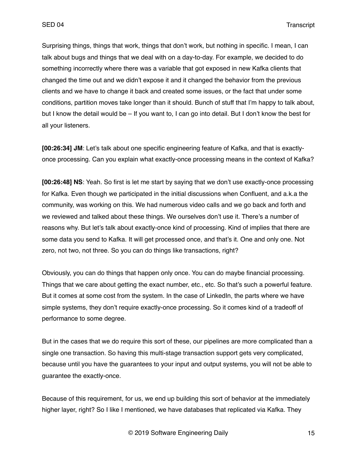Surprising things, things that work, things that don't work, but nothing in specific. I mean, I can talk about bugs and things that we deal with on a day-to-day. For example, we decided to do something incorrectly where there was a variable that got exposed in new Kafka clients that changed the time out and we didn't expose it and it changed the behavior from the previous clients and we have to change it back and created some issues, or the fact that under some conditions, partition moves take longer than it should. Bunch of stuff that I'm happy to talk about, but I know the detail would be – If you want to, I can go into detail. But I don't know the best for all your listeners.

**[00:26:34] JM**: Let's talk about one specific engineering feature of Kafka, and that is exactlyonce processing. Can you explain what exactly-once processing means in the context of Kafka?

**[00:26:48] NS**: Yeah. So first is let me start by saying that we don't use exactly-once processing for Kafka. Even though we participated in the initial discussions when Confluent, and a.k.a the community, was working on this. We had numerous video calls and we go back and forth and we reviewed and talked about these things. We ourselves don't use it. There's a number of reasons why. But let's talk about exactly-once kind of processing. Kind of implies that there are some data you send to Kafka. It will get processed once, and that's it. One and only one. Not zero, not two, not three. So you can do things like transactions, right?

Obviously, you can do things that happen only once. You can do maybe financial processing. Things that we care about getting the exact number, etc., etc. So that's such a powerful feature. But it comes at some cost from the system. In the case of LinkedIn, the parts where we have simple systems, they don't require exactly-once processing. So it comes kind of a tradeoff of performance to some degree.

But in the cases that we do require this sort of these, our pipelines are more complicated than a single one transaction. So having this multi-stage transaction support gets very complicated, because until you have the guarantees to your input and output systems, you will not be able to guarantee the exactly-once.

Because of this requirement, for us, we end up building this sort of behavior at the immediately higher layer, right? So I like I mentioned, we have databases that replicated via Kafka. They

© 2019 Software Engineering Daily 15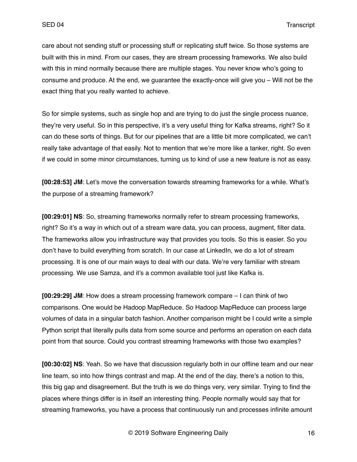care about not sending stuff or processing stuff or replicating stuff twice. So those systems are built with this in mind. From our cases, they are stream processing frameworks. We also build with this in mind normally because there are multiple stages. You never know who's going to consume and produce. At the end, we guarantee the exactly-once will give you – Will not be the exact thing that you really wanted to achieve.

So for simple systems, such as single hop and are trying to do just the single process nuance, they're very useful. So in this perspective, it's a very useful thing for Kafka streams, right? So it can do these sorts of things. But for our pipelines that are a little bit more complicated, we can't really take advantage of that easily. Not to mention that we're more like a tanker, right. So even if we could in some minor circumstances, turning us to kind of use a new feature is not as easy.

**[00:28:53] JM**: Let's move the conversation towards streaming frameworks for a while. What's the purpose of a streaming framework?

**[00:29:01] NS**: So, streaming frameworks normally refer to stream processing frameworks, right? So it's a way in which out of a stream ware data, you can process, augment, filter data. The frameworks allow you infrastructure way that provides you tools. So this is easier. So you don't have to build everything from scratch. In our case at LinkedIn, we do a lot of stream processing. It is one of our main ways to deal with our data. We're very familiar with stream processing. We use Samza, and it's a common available tool just like Kafka is.

**[00:29:29] JM**: How does a stream processing framework compare – I can think of two comparisons. One would be Hadoop MapReduce. So Hadoop MapReduce can process large volumes of data in a singular batch fashion. Another comparison might be I could write a simple Python script that literally pulls data from some source and performs an operation on each data point from that source. Could you contrast streaming frameworks with those two examples?

**[00:30:02] NS**: Yeah. So we have that discussion regularly both in our offline team and our near line team, so into how things contrast and map. At the end of the day, there's a notion to this, this big gap and disagreement. But the truth is we do things very, very similar. Trying to find the places where things differ is in itself an interesting thing. People normally would say that for streaming frameworks, you have a process that continuously run and processes infinite amount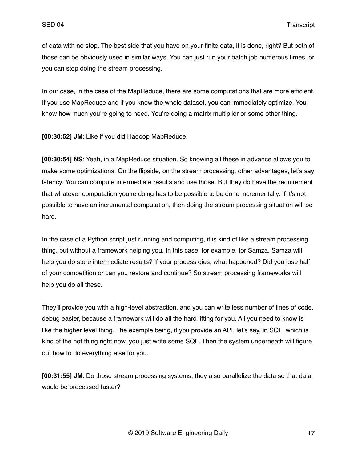of data with no stop. The best side that you have on your finite data, it is done, right? But both of those can be obviously used in similar ways. You can just run your batch job numerous times, or you can stop doing the stream processing.

In our case, in the case of the MapReduce, there are some computations that are more efficient. If you use MapReduce and if you know the whole dataset, you can immediately optimize. You know how much you're going to need. You're doing a matrix multiplier or some other thing.

**[00:30:52] JM**: Like if you did Hadoop MapReduce.

**[00:30:54] NS**: Yeah, in a MapReduce situation. So knowing all these in advance allows you to make some optimizations. On the flipside, on the stream processing, other advantages, let's say latency. You can compute intermediate results and use those. But they do have the requirement that whatever computation you're doing has to be possible to be done incrementally. If it's not possible to have an incremental computation, then doing the stream processing situation will be hard.

In the case of a Python script just running and computing, it is kind of like a stream processing thing, but without a framework helping you. In this case, for example, for Samza, Samza will help you do store intermediate results? If your process dies, what happened? Did you lose half of your competition or can you restore and continue? So stream processing frameworks will help you do all these.

They'll provide you with a high-level abstraction, and you can write less number of lines of code, debug easier, because a framework will do all the hard lifting for you. All you need to know is like the higher level thing. The example being, if you provide an API, let's say, in SQL, which is kind of the hot thing right now, you just write some SQL. Then the system underneath will figure out how to do everything else for you.

**[00:31:55] JM**: Do those stream processing systems, they also parallelize the data so that data would be processed faster?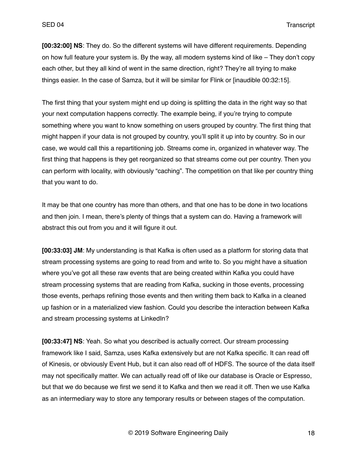**[00:32:00] NS**: They do. So the different systems will have different requirements. Depending on how full feature your system is. By the way, all modern systems kind of like – They don't copy each other, but they all kind of went in the same direction, right? They're all trying to make things easier. In the case of Samza, but it will be similar for Flink or [inaudible 00:32:15].

The first thing that your system might end up doing is splitting the data in the right way so that your next computation happens correctly. The example being, if you're trying to compute something where you want to know something on users grouped by country. The first thing that might happen if your data is not grouped by country, you'll split it up into by country. So in our case, we would call this a repartitioning job. Streams come in, organized in whatever way. The first thing that happens is they get reorganized so that streams come out per country. Then you can perform with locality, with obviously "caching". The competition on that like per country thing that you want to do.

It may be that one country has more than others, and that one has to be done in two locations and then join. I mean, there's plenty of things that a system can do. Having a framework will abstract this out from you and it will figure it out.

**[00:33:03] JM**: My understanding is that Kafka is often used as a platform for storing data that stream processing systems are going to read from and write to. So you might have a situation where you've got all these raw events that are being created within Kafka you could have stream processing systems that are reading from Kafka, sucking in those events, processing those events, perhaps refining those events and then writing them back to Kafka in a cleaned up fashion or in a materialized view fashion. Could you describe the interaction between Kafka and stream processing systems at LinkedIn?

**[00:33:47] NS**: Yeah. So what you described is actually correct. Our stream processing framework like I said, Samza, uses Kafka extensively but are not Kafka specific. It can read off of Kinesis, or obviously Event Hub, but it can also read off of HDFS. The source of the data itself may not specifically matter. We can actually read off of like our database is Oracle or Espresso, but that we do because we first we send it to Kafka and then we read it off. Then we use Kafka as an intermediary way to store any temporary results or between stages of the computation.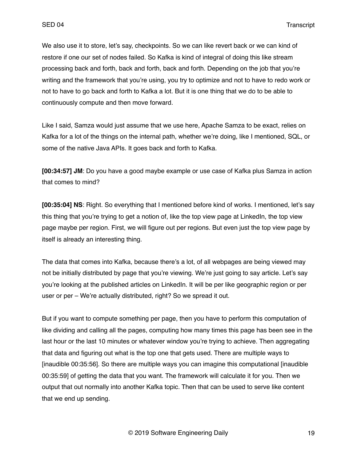We also use it to store, let's say, checkpoints. So we can like revert back or we can kind of restore if one our set of nodes failed. So Kafka is kind of integral of doing this like stream processing back and forth, back and forth, back and forth. Depending on the job that you're writing and the framework that you're using, you try to optimize and not to have to redo work or not to have to go back and forth to Kafka a lot. But it is one thing that we do to be able to continuously compute and then move forward.

Like I said, Samza would just assume that we use here, Apache Samza to be exact, relies on Kafka for a lot of the things on the internal path, whether we're doing, like I mentioned, SQL, or some of the native Java APIs. It goes back and forth to Kafka.

**[00:34:57] JM**: Do you have a good maybe example or use case of Kafka plus Samza in action that comes to mind?

**[00:35:04] NS**: Right. So everything that I mentioned before kind of works. I mentioned, let's say this thing that you're trying to get a notion of, like the top view page at LinkedIn, the top view page maybe per region. First, we will figure out per regions. But even just the top view page by itself is already an interesting thing.

The data that comes into Kafka, because there's a lot, of all webpages are being viewed may not be initially distributed by page that you're viewing. We're just going to say article. Let's say you're looking at the published articles on LinkedIn. It will be per like geographic region or per user or per – We're actually distributed, right? So we spread it out.

But if you want to compute something per page, then you have to perform this computation of like dividing and calling all the pages, computing how many times this page has been see in the last hour or the last 10 minutes or whatever window you're trying to achieve. Then aggregating that data and figuring out what is the top one that gets used. There are multiple ways to [inaudible 00:35:56]. So there are multiple ways you can imagine this computational [inaudible 00:35:59] of getting the data that you want. The framework will calculate it for you. Then we output that out normally into another Kafka topic. Then that can be used to serve like content that we end up sending.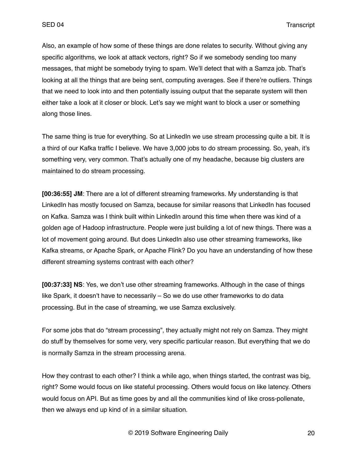Also, an example of how some of these things are done relates to security. Without giving any specific algorithms, we look at attack vectors, right? So if we somebody sending too many messages, that might be somebody trying to spam. We'll detect that with a Samza job. That's looking at all the things that are being sent, computing averages. See if there're outliers. Things that we need to look into and then potentially issuing output that the separate system will then either take a look at it closer or block. Let's say we might want to block a user or something along those lines.

The same thing is true for everything. So at LinkedIn we use stream processing quite a bit. It is a third of our Kafka traffic I believe. We have 3,000 jobs to do stream processing. So, yeah, it's something very, very common. That's actually one of my headache, because big clusters are maintained to do stream processing.

**[00:36:55] JM**: There are a lot of different streaming frameworks. My understanding is that LinkedIn has mostly focused on Samza, because for similar reasons that LinkedIn has focused on Kafka. Samza was I think built within LinkedIn around this time when there was kind of a golden age of Hadoop infrastructure. People were just building a lot of new things. There was a lot of movement going around. But does LinkedIn also use other streaming frameworks, like Kafka streams, or Apache Spark, or Apache Flink? Do you have an understanding of how these different streaming systems contrast with each other?

**[00:37:33] NS**: Yes, we don't use other streaming frameworks. Although in the case of things like Spark, it doesn't have to necessarily – So we do use other frameworks to do data processing. But in the case of streaming, we use Samza exclusively.

For some jobs that do "stream processing", they actually might not rely on Samza. They might do stuff by themselves for some very, very specific particular reason. But everything that we do is normally Samza in the stream processing arena.

How they contrast to each other? I think a while ago, when things started, the contrast was big, right? Some would focus on like stateful processing. Others would focus on like latency. Others would focus on API. But as time goes by and all the communities kind of like cross-pollenate, then we always end up kind of in a similar situation.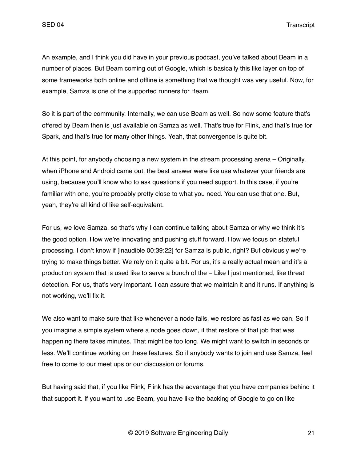An example, and I think you did have in your previous podcast, you've talked about Beam in a number of places. But Beam coming out of Google, which is basically this like layer on top of some frameworks both online and offline is something that we thought was very useful. Now, for example, Samza is one of the supported runners for Beam.

So it is part of the community. Internally, we can use Beam as well. So now some feature that's offered by Beam then is just available on Samza as well. That's true for Flink, and that's true for Spark, and that's true for many other things. Yeah, that convergence is quite bit.

At this point, for anybody choosing a new system in the stream processing arena – Originally, when iPhone and Android came out, the best answer were like use whatever your friends are using, because you'll know who to ask questions if you need support. In this case, if you're familiar with one, you're probably pretty close to what you need. You can use that one. But, yeah, they're all kind of like self-equivalent.

For us, we love Samza, so that's why I can continue talking about Samza or why we think it's the good option. How we're innovating and pushing stuff forward. How we focus on stateful processing. I don't know if [inaudible 00:39:22] for Samza is public, right? But obviously we're trying to make things better. We rely on it quite a bit. For us, it's a really actual mean and it's a production system that is used like to serve a bunch of the – Like I just mentioned, like threat detection. For us, that's very important. I can assure that we maintain it and it runs. If anything is not working, we'll fix it.

We also want to make sure that like whenever a node fails, we restore as fast as we can. So if you imagine a simple system where a node goes down, if that restore of that job that was happening there takes minutes. That might be too long. We might want to switch in seconds or less. We'll continue working on these features. So if anybody wants to join and use Samza, feel free to come to our meet ups or our discussion or forums.

But having said that, if you like Flink, Flink has the advantage that you have companies behind it that support it. If you want to use Beam, you have like the backing of Google to go on like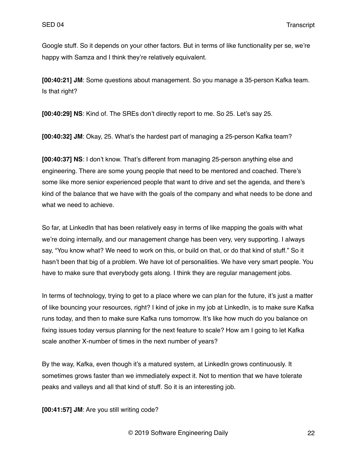Google stuff. So it depends on your other factors. But in terms of like functionality per se, we're happy with Samza and I think they're relatively equivalent.

**[00:40:21] JM**: Some questions about management. So you manage a 35-person Kafka team. Is that right?

**[00:40:29] NS**: Kind of. The SREs don't directly report to me. So 25. Let's say 25.

**[00:40:32] JM**: Okay, 25. What's the hardest part of managing a 25-person Kafka team?

**[00:40:37] NS**: I don't know. That's different from managing 25-person anything else and engineering. There are some young people that need to be mentored and coached. There's some like more senior experienced people that want to drive and set the agenda, and there's kind of the balance that we have with the goals of the company and what needs to be done and what we need to achieve.

So far, at LinkedIn that has been relatively easy in terms of like mapping the goals with what we're doing internally, and our management change has been very, very supporting. I always say, "You know what? We need to work on this, or build on that, or do that kind of stuff." So it hasn't been that big of a problem. We have lot of personalities. We have very smart people. You have to make sure that everybody gets along. I think they are regular management jobs.

In terms of technology, trying to get to a place where we can plan for the future, it's just a matter of like bouncing your resources, right? I kind of joke in my job at LinkedIn, is to make sure Kafka runs today, and then to make sure Kafka runs tomorrow. It's like how much do you balance on fixing issues today versus planning for the next feature to scale? How am I going to let Kafka scale another X-number of times in the next number of years?

By the way, Kafka, even though it's a matured system, at LinkedIn grows continuously. It sometimes grows faster than we immediately expect it. Not to mention that we have tolerate peaks and valleys and all that kind of stuff. So it is an interesting job.

**[00:41:57] JM**: Are you still writing code?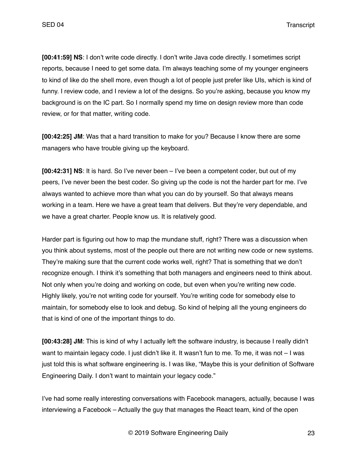**[00:41:59] NS**: I don't write code directly. I don't write Java code directly. I sometimes script reports, because I need to get some data. I'm always teaching some of my younger engineers to kind of like do the shell more, even though a lot of people just prefer like UIs, which is kind of funny. I review code, and I review a lot of the designs. So you're asking, because you know my background is on the IC part. So I normally spend my time on design review more than code review, or for that matter, writing code.

**[00:42:25] JM**: Was that a hard transition to make for you? Because I know there are some managers who have trouble giving up the keyboard.

**[00:42:31] NS**: It is hard. So I've never been – I've been a competent coder, but out of my peers, I've never been the best coder. So giving up the code is not the harder part for me. I've always wanted to achieve more than what you can do by yourself. So that always means working in a team. Here we have a great team that delivers. But they're very dependable, and we have a great charter. People know us. It is relatively good.

Harder part is figuring out how to map the mundane stuff, right? There was a discussion when you think about systems, most of the people out there are not writing new code or new systems. They're making sure that the current code works well, right? That is something that we don't recognize enough. I think it's something that both managers and engineers need to think about. Not only when you're doing and working on code, but even when you're writing new code. Highly likely, you're not writing code for yourself. You're writing code for somebody else to maintain, for somebody else to look and debug. So kind of helping all the young engineers do that is kind of one of the important things to do.

**[00:43:28] JM**: This is kind of why I actually left the software industry, is because I really didn't want to maintain legacy code. I just didn't like it. It wasn't fun to me. To me, it was not – I was just told this is what software engineering is. I was like, "Maybe this is your definition of Software Engineering Daily. I don't want to maintain your legacy code."

I've had some really interesting conversations with Facebook managers, actually, because I was interviewing a Facebook – Actually the guy that manages the React team, kind of the open

© 2019 Software Engineering Daily 23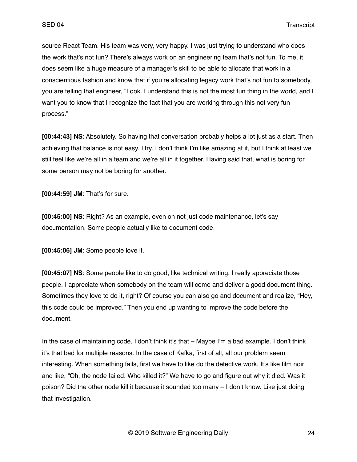source React Team. His team was very, very happy. I was just trying to understand who does the work that's not fun? There's always work on an engineering team that's not fun. To me, it does seem like a huge measure of a manager's skill to be able to allocate that work in a conscientious fashion and know that if you're allocating legacy work that's not fun to somebody, you are telling that engineer, "Look. I understand this is not the most fun thing in the world, and I want you to know that I recognize the fact that you are working through this not very fun process."

**[00:44:43] NS**: Absolutely. So having that conversation probably helps a lot just as a start. Then achieving that balance is not easy. I try. I don't think I'm like amazing at it, but I think at least we still feel like we're all in a team and we're all in it together. Having said that, what is boring for some person may not be boring for another.

**[00:44:59] JM**: That's for sure.

**[00:45:00] NS**: Right? As an example, even on not just code maintenance, let's say documentation. Some people actually like to document code.

**[00:45:06] JM**: Some people love it.

**[00:45:07] NS**: Some people like to do good, like technical writing. I really appreciate those people. I appreciate when somebody on the team will come and deliver a good document thing. Sometimes they love to do it, right? Of course you can also go and document and realize, "Hey, this code could be improved." Then you end up wanting to improve the code before the document.

In the case of maintaining code, I don't think it's that – Maybe I'm a bad example. I don't think it's that bad for multiple reasons. In the case of Kafka, first of all, all our problem seem interesting. When something fails, first we have to like do the detective work. It's like film noir and like, "Oh, the node failed. Who killed it?" We have to go and figure out why it died. Was it poison? Did the other node kill it because it sounded too many – I don't know. Like just doing that investigation.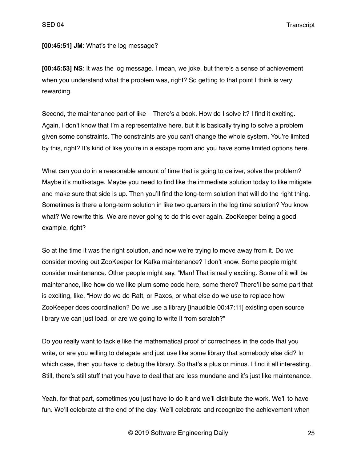#### **[00:45:51] JM**: What's the log message?

**[00:45:53] NS**: It was the log message. I mean, we joke, but there's a sense of achievement when you understand what the problem was, right? So getting to that point I think is very rewarding.

Second, the maintenance part of like – There's a book. How do I solve it? I find it exciting. Again, I don't know that I'm a representative here, but it is basically trying to solve a problem given some constraints. The constraints are you can't change the whole system. You're limited by this, right? It's kind of like you're in a escape room and you have some limited options here.

What can you do in a reasonable amount of time that is going to deliver, solve the problem? Maybe it's multi-stage. Maybe you need to find like the immediate solution today to like mitigate and make sure that side is up. Then you'll find the long-term solution that will do the right thing. Sometimes is there a long-term solution in like two quarters in the log time solution? You know what? We rewrite this. We are never going to do this ever again. ZooKeeper being a good example, right?

So at the time it was the right solution, and now we're trying to move away from it. Do we consider moving out ZooKeeper for Kafka maintenance? I don't know. Some people might consider maintenance. Other people might say, "Man! That is really exciting. Some of it will be maintenance, like how do we like plum some code here, some there? There'll be some part that is exciting, like, "How do we do Raft, or Paxos, or what else do we use to replace how ZooKeeper does coordination? Do we use a library [inaudible 00:47:11] existing open source library we can just load, or are we going to write it from scratch?"

Do you really want to tackle like the mathematical proof of correctness in the code that you write, or are you willing to delegate and just use like some library that somebody else did? In which case, then you have to debug the library. So that's a plus or minus. I find it all interesting. Still, there's still stuff that you have to deal that are less mundane and it's just like maintenance.

Yeah, for that part, sometimes you just have to do it and we'll distribute the work. We'll to have fun. We'll celebrate at the end of the day. We'll celebrate and recognize the achievement when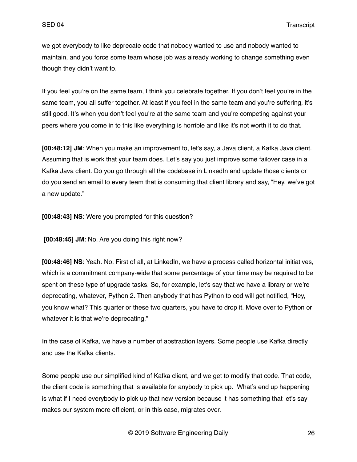we got everybody to like deprecate code that nobody wanted to use and nobody wanted to maintain, and you force some team whose job was already working to change something even though they didn't want to.

If you feel you're on the same team, I think you celebrate together. If you don't feel you're in the same team, you all suffer together. At least if you feel in the same team and you're suffering, it's still good. It's when you don't feel you're at the same team and you're competing against your peers where you come in to this like everything is horrible and like it's not worth it to do that.

**[00:48:12] JM**: When you make an improvement to, let's say, a Java client, a Kafka Java client. Assuming that is work that your team does. Let's say you just improve some failover case in a Kafka Java client. Do you go through all the codebase in LinkedIn and update those clients or do you send an email to every team that is consuming that client library and say, "Hey, we've got a new update."

**[00:48:43] NS**: Were you prompted for this question?

 **[00:48:45] JM**: No. Are you doing this right now?

**[00:48:46] NS**: Yeah. No. First of all, at LinkedIn, we have a process called horizontal initiatives, which is a commitment company-wide that some percentage of your time may be required to be spent on these type of upgrade tasks. So, for example, let's say that we have a library or we're deprecating, whatever, Python 2. Then anybody that has Python to cod will get notified, "Hey, you know what? This quarter or these two quarters, you have to drop it. Move over to Python or whatever it is that we're deprecating."

In the case of Kafka, we have a number of abstraction layers. Some people use Kafka directly and use the Kafka clients.

Some people use our simplified kind of Kafka client, and we get to modify that code. That code, the client code is something that is available for anybody to pick up. What's end up happening is what if I need everybody to pick up that new version because it has something that let's say makes our system more efficient, or in this case, migrates over.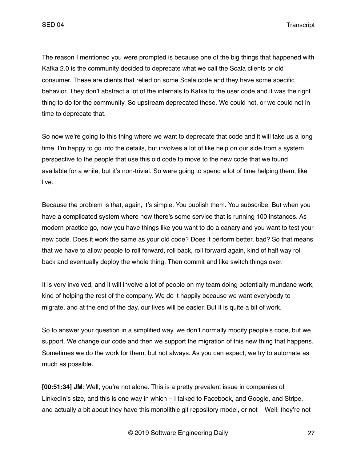The reason I mentioned you were prompted is because one of the big things that happened with Kafka 2.0 is the community decided to deprecate what we call the Scala clients or old consumer. These are clients that relied on some Scala code and they have some specific behavior. They don't abstract a lot of the internals to Kafka to the user code and it was the right thing to do for the community. So upstream deprecated these. We could not, or we could not in time to deprecate that.

So now we're going to this thing where we want to deprecate that code and it will take us a long time. I'm happy to go into the details, but involves a lot of like help on our side from a system perspective to the people that use this old code to move to the new code that we found available for a while, but it's non-trivial. So were going to spend a lot of time helping them, like live.

Because the problem is that, again, it's simple. You publish them. You subscribe. But when you have a complicated system where now there's some service that is running 100 instances. As modern practice go, now you have things like you want to do a canary and you want to test your new code. Does it work the same as your old code? Does it perform better, bad? So that means that we have to allow people to roll forward, roll back, roll forward again, kind of half way roll back and eventually deploy the whole thing. Then commit and like switch things over.

It is very involved, and it will involve a lot of people on my team doing potentially mundane work, kind of helping the rest of the company. We do it happily because we want everybody to migrate, and at the end of the day, our lives will be easier. But it is quite a bit of work.

So to answer your question in a simplified way, we don't normally modify people's code, but we support. We change our code and then we support the migration of this new thing that happens. Sometimes we do the work for them, but not always. As you can expect, we try to automate as much as possible.

**[00:51:34] JM**: Well, you're not alone. This is a pretty prevalent issue in companies of LinkedIn's size, and this is one way in which – I talked to Facebook, and Google, and Stripe, and actually a bit about they have this monolithic git repository model, or not – Well, they're not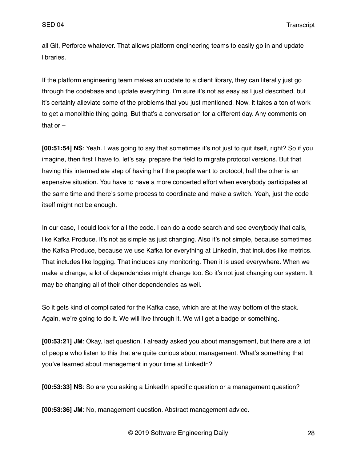all Git, Perforce whatever. That allows platform engineering teams to easily go in and update libraries.

If the platform engineering team makes an update to a client library, they can literally just go through the codebase and update everything. I'm sure it's not as easy as I just described, but it's certainly alleviate some of the problems that you just mentioned. Now, it takes a ton of work to get a monolithic thing going. But that's a conversation for a different day. Any comments on that or  $-$ 

**[00:51:54] NS**: Yeah. I was going to say that sometimes it's not just to quit itself, right? So if you imagine, then first I have to, let's say, prepare the field to migrate protocol versions. But that having this intermediate step of having half the people want to protocol, half the other is an expensive situation. You have to have a more concerted effort when everybody participates at the same time and there's some process to coordinate and make a switch. Yeah, just the code itself might not be enough.

In our case, I could look for all the code. I can do a code search and see everybody that calls, like Kafka Produce. It's not as simple as just changing. Also it's not simple, because sometimes the Kafka Produce, because we use Kafka for everything at LinkedIn, that includes like metrics. That includes like logging. That includes any monitoring. Then it is used everywhere. When we make a change, a lot of dependencies might change too. So it's not just changing our system. It may be changing all of their other dependencies as well.

So it gets kind of complicated for the Kafka case, which are at the way bottom of the stack. Again, we're going to do it. We will live through it. We will get a badge or something.

**[00:53:21] JM**: Okay, last question. I already asked you about management, but there are a lot of people who listen to this that are quite curious about management. What's something that you've learned about management in your time at LinkedIn?

**[00:53:33] NS**: So are you asking a LinkedIn specific question or a management question?

**[00:53:36] JM**: No, management question. Abstract management advice.

© 2019 Software Engineering Daily 28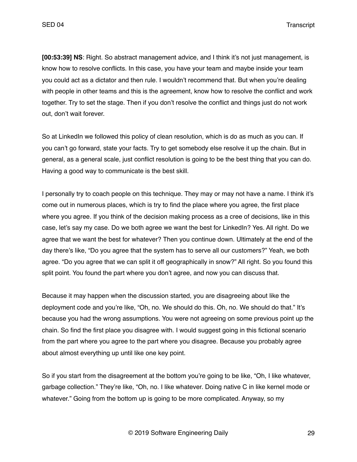**[00:53:39] NS**: Right. So abstract management advice, and I think it's not just management, is know how to resolve conflicts. In this case, you have your team and maybe inside your team you could act as a dictator and then rule. I wouldn't recommend that. But when you're dealing with people in other teams and this is the agreement, know how to resolve the conflict and work together. Try to set the stage. Then if you don't resolve the conflict and things just do not work out, don't wait forever.

So at LinkedIn we followed this policy of clean resolution, which is do as much as you can. If you can't go forward, state your facts. Try to get somebody else resolve it up the chain. But in general, as a general scale, just conflict resolution is going to be the best thing that you can do. Having a good way to communicate is the best skill.

I personally try to coach people on this technique. They may or may not have a name. I think it's come out in numerous places, which is try to find the place where you agree, the first place where you agree. If you think of the decision making process as a cree of decisions, like in this case, let's say my case. Do we both agree we want the best for LinkedIn? Yes. All right. Do we agree that we want the best for whatever? Then you continue down. Ultimately at the end of the day there's like, "Do you agree that the system has to serve all our customers?" Yeah, we both agree. "Do you agree that we can split it off geographically in snow?" All right. So you found this split point. You found the part where you don't agree, and now you can discuss that.

Because it may happen when the discussion started, you are disagreeing about like the deployment code and you're like, "Oh, no. We should do this. Oh, no. We should do that." It's because you had the wrong assumptions. You were not agreeing on some previous point up the chain. So find the first place you disagree with. I would suggest going in this fictional scenario from the part where you agree to the part where you disagree. Because you probably agree about almost everything up until like one key point.

So if you start from the disagreement at the bottom you're going to be like, "Oh, I like whatever, garbage collection." They're like, "Oh, no. I like whatever. Doing native C in like kernel mode or whatever." Going from the bottom up is going to be more complicated. Anyway, so my